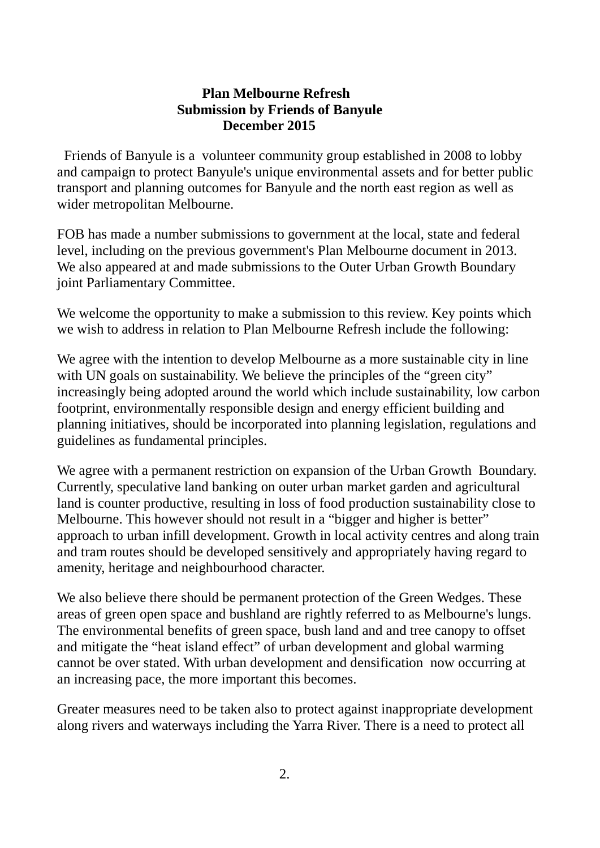## **Plan Melbourne Refresh Submission by Friends of Banyule December 2015**

Friends of Banyule is a volunteer community group established in 2008 to lobby and campaign to protect Banyule's unique environmental assets and for better public transport and planning outcomes for Banyule and the north east region as well as wider metropolitan Melbourne.

FOB has made a number submissions to government at the local, state and federal level, including on the previous government's Plan Melbourne document in 2013. We also appeared at and made submissions to the Outer Urban Growth Boundary joint Parliamentary Committee.

We welcome the opportunity to make a submission to this review. Key points which we wish to address in relation to Plan Melbourne Refresh include the following:

We agree with the intention to develop Melbourne as a more sustainable city in line with UN goals on sustainability. We believe the principles of the "green city" increasingly being adopted around the world which include sustainability, low carbon footprint, environmentally responsible design and energy efficient building and planning initiatives, should be incorporated into planning legislation, regulations and guidelines as fundamental principles.

We agree with a permanent restriction on expansion of the Urban Growth Boundary. Currently, speculative land banking on outer urban market garden and agricultural land is counter productive, resulting in loss of food production sustainability close to Melbourne. This however should not result in a "bigger and higher is better" approach to urban infill development. Growth in local activity centres and along train and tram routes should be developed sensitively and appropriately having regard to amenity, heritage and neighbourhood character.

We also believe there should be permanent protection of the Green Wedges. These areas of green open space and bushland are rightly referred to as Melbourne's lungs. The environmental benefits of green space, bush land and and tree canopy to offset and mitigate the "heat island effect" of urban development and global warming cannot be over stated. With urban development and densification now occurring at an increasing pace, the more important this becomes.

Greater measures need to be taken also to protect against inappropriate development along rivers and waterways including the Yarra River. There is a need to protect all